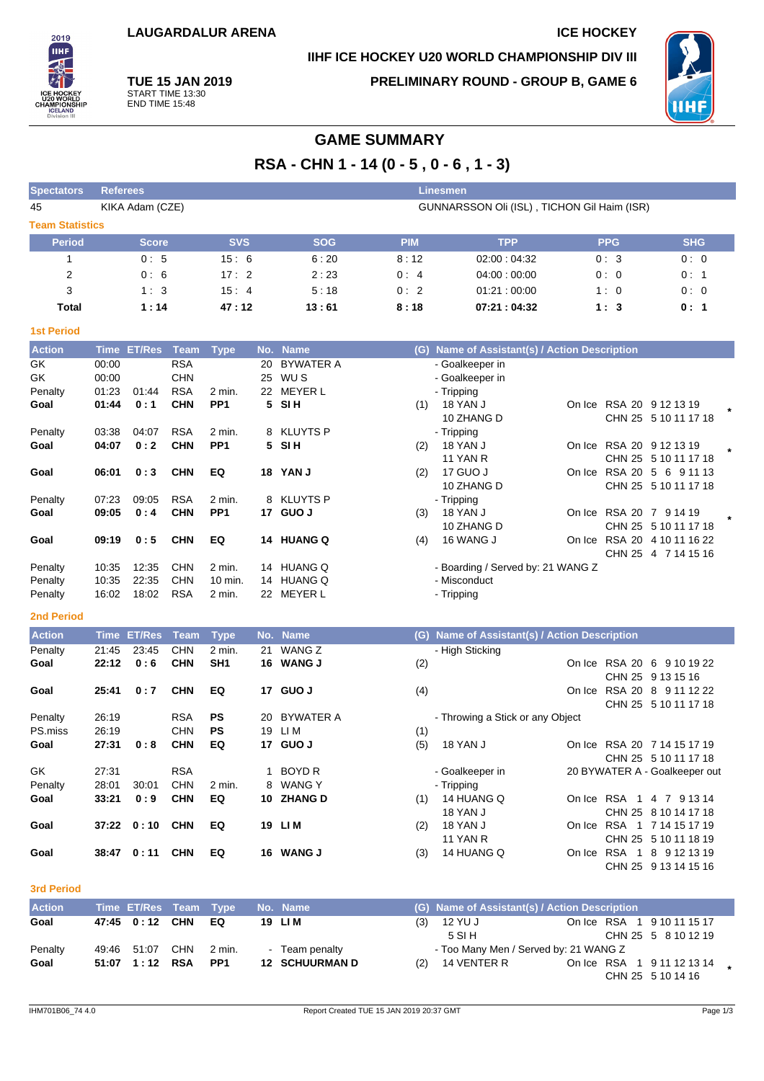# **IIHF ICE HOCKEY U20 WORLD CHAMPIONSHIP DIV III**

2019 **TIHE** 

**TUE 15 JAN 2019** START TIME 13:30 END TIME 15:48

**PRELIMINARY ROUND - GROUP B, GAME 6**



# **GAME SUMMARY**

**RSA - CHN 1 - 14 (0 - 5 , 0 - 6 , 1 - 3)**

| <b>Spectators</b>      | <b>Referees</b> |            |                                             | <b>Linesmen</b> |             |            |            |  |  |  |  |  |  |  |
|------------------------|-----------------|------------|---------------------------------------------|-----------------|-------------|------------|------------|--|--|--|--|--|--|--|
| 45                     | KIKA Adam (CZE) |            | GUNNARSSON Oli (ISL), TICHON Gil Haim (ISR) |                 |             |            |            |  |  |  |  |  |  |  |
| <b>Team Statistics</b> |                 |            |                                             |                 |             |            |            |  |  |  |  |  |  |  |
| <b>Period</b>          | <b>Score</b>    | <b>SVS</b> | <b>SOG</b>                                  | <b>PIM</b>      | <b>TPP</b>  | <b>PPG</b> | <b>SHG</b> |  |  |  |  |  |  |  |
|                        | 0:5             | 15:6       | 6:20                                        | 8:12            | 02:00:04:32 | 0:3        | 0:0        |  |  |  |  |  |  |  |
| 2                      | 0:6             | 17:2       | 2:23                                        | 0:4             | 04:00:00:00 | 0:0        | 0:1        |  |  |  |  |  |  |  |
| 3                      | 1:3             | 15:4       | 5:18                                        | 0:2             | 01:21:00:00 | 1:0        | 0:0        |  |  |  |  |  |  |  |
| Total                  | 1:14            | 47:12      | 13:61                                       | 8:18            | 07:21:04:32 | 1:3        | 0:1        |  |  |  |  |  |  |  |

#### **1st Period**

| <b>Action</b> | Time  | <b>ET/Res</b> | Team       | <b>Type</b>     |    | No. Name         | (G) | Name of Assistant(s) / Action Description |        |               |                          |  |
|---------------|-------|---------------|------------|-----------------|----|------------------|-----|-------------------------------------------|--------|---------------|--------------------------|--|
| GK            | 00:00 |               | <b>RSA</b> |                 | 20 | <b>BYWATER A</b> |     | - Goalkeeper in                           |        |               |                          |  |
| GK            | 00:00 |               | <b>CHN</b> |                 | 25 | WU S             |     | - Goalkeeper in                           |        |               |                          |  |
| Penalty       | 01:23 | 01:44         | <b>RSA</b> | $2$ min.        | 22 | <b>MEYER L</b>   |     | - Tripping                                |        |               |                          |  |
| Goal          | 01:44 | 0:1           | <b>CHN</b> | PP <sub>1</sub> | 5. | SI H             | (1) | <b>18 YAN J</b>                           |        |               | On Ice RSA 20 9 12 13 19 |  |
|               |       |               |            |                 |    |                  |     | 10 ZHANG D                                |        |               | CHN 25 5 10 11 17 18     |  |
| Penalty       | 03:38 | 04:07         | <b>RSA</b> | $2$ min.        |    | 8 KLUYTS P       |     | - Tripping                                |        |               |                          |  |
| Goal          | 04:07 | 0:2           | <b>CHN</b> | PP <sub>1</sub> | 5  | <b>SIH</b>       | (2) | <b>18 YAN J</b>                           | On Ice |               | RSA 20 9 12 13 19        |  |
|               |       |               |            |                 |    |                  |     | <b>11 YAN R</b>                           |        |               | CHN 25 5 10 11 17 18     |  |
| Goal          | 06:01 | 0:3           | <b>CHN</b> | EQ              | 18 | <b>YAN J</b>     | (2) | 17 GUO J                                  | On Ice | RSA 20 5      | 6<br>9 11 13             |  |
|               |       |               |            |                 |    |                  |     | 10 ZHANG D                                |        |               | CHN 25 5 10 11 17 18     |  |
| Penalty       | 07:23 | 09:05         | <b>RSA</b> | $2$ min.        |    | 8 KLUYTS P       |     | - Tripping                                |        |               |                          |  |
| Goal          | 09:05 | 0:4           | <b>CHN</b> | PP <sub>1</sub> | 17 | <b>GUO J</b>     | (3) | 18 YAN J                                  |        |               | On Ice RSA 20 7 9 14 19  |  |
|               |       |               |            |                 |    |                  |     | 10 ZHANG D                                |        |               | CHN 25 5 10 11 17 18     |  |
| Goal          | 09:19 | 0:5           | <b>CHN</b> | EQ              | 14 | <b>HUANG Q</b>   | (4) | 16 WANG J                                 | On Ice | <b>RSA 20</b> | 4 10 11 16 22            |  |
|               |       |               |            |                 |    |                  |     |                                           |        | <b>CHN 25</b> | 4 7 14 15 16             |  |
| Penalty       | 10:35 | 12:35         | <b>CHN</b> | $2$ min.        | 14 | <b>HUANG Q</b>   |     | - Boarding / Served by: 21 WANG Z         |        |               |                          |  |
| Penalty       | 10:35 | 22:35         | <b>CHN</b> | 10 min.         | 14 | <b>HUANG Q</b>   |     | - Misconduct                              |        |               |                          |  |
| Penalty       | 16:02 | 18:02         | <b>RSA</b> | 2 min.          | 22 | <b>MEYER L</b>   |     | - Tripping                                |        |               |                          |  |
|               |       |               |            |                 |    |                  |     |                                           |        |               |                          |  |

#### **2nd Period**

| <b>Action</b> | <b>Time</b> | <b>ET/Res</b> | Team       | <b>Type</b>     |    | No. Name         | (G) | Name of Assistant(s) / Action Description |        |            |                               |
|---------------|-------------|---------------|------------|-----------------|----|------------------|-----|-------------------------------------------|--------|------------|-------------------------------|
| Penalty       | 21:45       | 23:45         | <b>CHN</b> | 2 min.          | 21 | WANG Z           |     | - High Sticking                           |        |            |                               |
| Goal          | 22:12       | 0:6           | <b>CHN</b> | SH <sub>1</sub> | 16 | <b>WANG J</b>    | (2) |                                           | On Ice |            | RSA 20 6 9 10 19 22           |
|               |             |               |            |                 |    |                  |     |                                           |        |            | CHN 25 9 13 15 16             |
| Goal          | 25:41       | 0:7           | <b>CHN</b> | EQ              | 17 | <b>GUO J</b>     | (4) |                                           | On Ice |            | RSA 20 8 9 11 12 22           |
|               |             |               |            |                 |    |                  |     |                                           |        |            | CHN 25 5 10 11 17 18          |
| Penalty       | 26:19       |               | <b>RSA</b> | <b>PS</b>       | 20 | <b>BYWATER A</b> |     | - Throwing a Stick or any Object          |        |            |                               |
| PS.miss       | 26:19       |               | <b>CHN</b> | PS              | 19 | LI M             | (1) |                                           |        |            |                               |
| Goal          | 27:31       | 0:8           | <b>CHN</b> | EQ              | 17 | GUO J            | (5) | <b>18 YAN J</b>                           | On Ice |            | RSA 20 7 14 15 17 19          |
|               |             |               |            |                 |    |                  |     |                                           |        |            | CHN 25 5 10 11 17 18          |
| GK            | 27:31       |               | <b>RSA</b> |                 |    | BOYD R           |     | - Goalkeeper in                           |        |            | 20 BYWATER A - Goalkeeper out |
| Penalty       | 28:01       | 30:01         | <b>CHN</b> | $2$ min.        |    | 8 WANG Y         |     | - Tripping                                |        |            |                               |
| Goal          | 33:21       | 0:9           | <b>CHN</b> | EQ              | 10 | <b>ZHANG D</b>   | (1) | 14 HUANG Q                                | On Ice | <b>RSA</b> | 1 4 7 9 13 14                 |
|               |             |               |            |                 |    |                  |     | <b>18 YAN J</b>                           |        |            | CHN 25 8 10 14 17 18          |
| Goal          | 37:22       | 0:10          | <b>CHN</b> | EQ              | 19 | LI M             | (2) | <b>18 YAN J</b>                           | On Ice |            | RSA 1 7 14 15 17 19           |
|               |             |               |            |                 |    |                  |     | <b>11 YAN R</b>                           |        |            | CHN 25 5 10 11 18 19          |
| Goal          | 38:47       | 0:11          | <b>CHN</b> | EQ              | 16 | <b>WANG J</b>    | (3) | 14 HUANG Q                                | On Ice | RSA        | 1 8 9 12 13 19                |

#### **3rd Period**

| <b>Action</b> | Time ET/Res Team Type |     |                 | No. Name              |     | (G) Name of Assistant(s) / Action Description |                                                 |  |
|---------------|-----------------------|-----|-----------------|-----------------------|-----|-----------------------------------------------|-------------------------------------------------|--|
| Goal          | 47:45 0:12 CHN        |     | EQ              | 19 LIM                | (3) | 12 YU J                                       | On Ice RSA 1 9 10 11 15 17                      |  |
|               |                       |     |                 |                       |     | 5 SI H                                        | CHN 25 5 8 10 12 19                             |  |
| Penalty       | 49:46 51:07           | CHN | 2 min.          | Team penalty          |     | - Too Many Men / Served by: 21 WANG Z         |                                                 |  |
| Goal          | 51:07  1:12  RSA      |     | PP <sub>1</sub> | <b>12 SCHUURMAN D</b> | (2) | 14 VENTER R                                   | On Ice RSA 1 9 11 12 13 14<br>CHN 25 5 10 14 16 |  |

CHN 25 9 13 14 15 16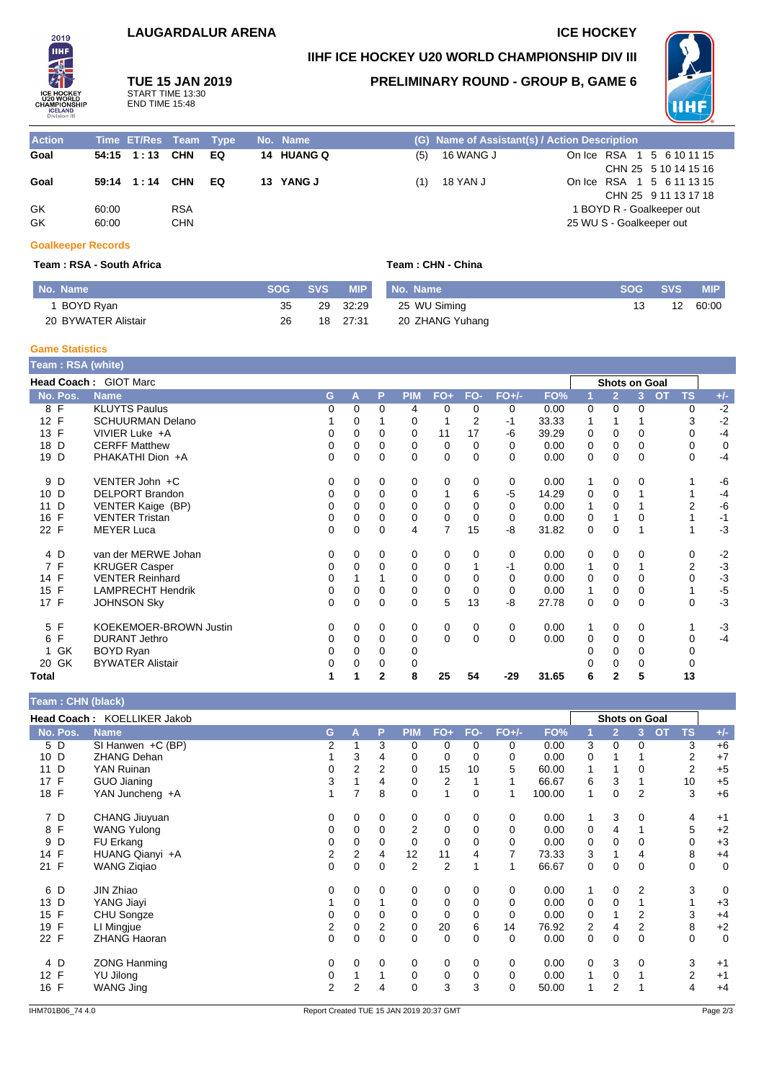# **LAUGARDALUR ARENA ICE HOCKEY**

START TIME 13:30 END TIME 15:48

**IIHF ICE HOCKEY U20 WORLD CHAMPIONSHIP DIV III**

**IIHF TUE 15 JAN 2019**

2019

## **PRELIMINARY ROUND - GROUP B, GAME 6**



| <b>Action</b> |                | Time ET/Res Team Type |                          |    | No. Name   |     | (G) Name of Assistant(s) / Action Description |                                                       |  |  |
|---------------|----------------|-----------------------|--------------------------|----|------------|-----|-----------------------------------------------|-------------------------------------------------------|--|--|
| Goal          |                | 54:15 1:13 CHN        |                          | EQ | 14 HUANG Q | (5) | 16 WANG J                                     | On Ice RSA 1 5 6 10 11 15<br>CHN 25 5 10 14 15 16     |  |  |
| Goal          |                | 59:14 1:14 CHN        |                          | EQ | 13 YANG J  | (1) | 18 YAN J                                      | On Ice RSA 1 5 6 11 13 15<br>CHN 25 9 11 13 17 18     |  |  |
| GK<br>GK      | 60:00<br>60:00 |                       | <b>RSA</b><br><b>CHN</b> |    |            |     |                                               | 1 BOYD R - Goalkeeper out<br>25 WU S - Goalkeeper out |  |  |

#### **Goalkeeper Records**

#### **Team : RSA - South Africa Team : CHN - China**

| No. Name            | <b>SOG</b> | <b>SVS</b> | <b>MIP</b> | No. Name        | SOG - | <b>SVS</b> | <b>MIP</b> |
|---------------------|------------|------------|------------|-----------------|-------|------------|------------|
| <b>BOYD Ryan</b>    | 35         | 29         | 32:29      | 25 WU Siming    |       |            | 60:00      |
| 20 BYWATER Alistair | 26         | 18         | 27:31      | 20 ZHANG Yuhang |       |            |            |

#### **Game Statistics**

| Team : RSA (white) |                               |          |          |              |            |                |                |          |       |   |                      |   |    |           |       |
|--------------------|-------------------------------|----------|----------|--------------|------------|----------------|----------------|----------|-------|---|----------------------|---|----|-----------|-------|
|                    | Head Coach: GIOT Marc         |          |          |              |            |                |                |          |       |   | <b>Shots on Goal</b> |   |    |           |       |
| No. Pos.           | <b>Name</b>                   | G        | A        | P            | <b>PIM</b> | $FO+$          | FO-            | $FO+/-$  | FO%   |   | $\overline{2}$       | 3 | OT | <b>TS</b> | $+/-$ |
| 8 F                | <b>KLUYTS Paulus</b>          | 0        | $\Omega$ | $\Omega$     | 4          | 0              | 0              | 0        | 0.00  | 0 | $\Omega$             | 0 |    | 0         | $-2$  |
| 12 F               | <b>SCHUURMAN Delano</b>       |          | 0        |              | 0          |                | $\overline{2}$ | $-1$     | 33.33 |   |                      |   |    | 3         | $-2$  |
| 13 F               | VIVIER Luke +A                | 0        | 0        | 0            | 0          | 11             | 17             | -6       | 39.29 | 0 | 0                    | 0 |    | 0         | $-4$  |
| D<br>18            | <b>CERFF Matthew</b>          | 0        | $\Omega$ | $\Omega$     | 0          | 0              | 0              | 0        | 0.00  | 0 | 0                    | 0 |    | 0         | 0     |
| 19 D               | PHAKATHI Dion +A              | $\Omega$ | 0        | $\mathbf 0$  | 0          | 0              | 0              | $\Omega$ | 0.00  | 0 | 0                    | 0 |    | 0         | $-4$  |
| 9 D                | VENTER John +C                | 0        | 0        | 0            | 0          | 0              | 0              | 0        | 0.00  | 1 | 0                    | 0 |    |           | -6    |
| 10 D               | DELPORT Brandon               | 0        | 0        | 0            | 0          |                | 6              | -5       | 14.29 | 0 | 0                    |   |    |           | $-4$  |
| D<br>11            | VENTER Kaige (BP)             | $\Omega$ | $\Omega$ | $\Omega$     | 0          | 0              | 0              | 0        | 0.00  |   | $\Omega$             |   |    | 2         | -6    |
| $\mathsf{F}$<br>16 | <b>VENTER Tristan</b>         | 0        | $\Omega$ | 0            | $\Omega$   | 0              | $\Omega$       | $\Omega$ | 0.00  | 0 |                      | 0 |    |           | $-1$  |
| 22 F               | <b>MEYER Luca</b>             | $\Omega$ | 0        | $\mathbf 0$  | 4          | $\overline{7}$ | 15             | -8       | 31.82 | 0 | 0                    |   |    |           | $-3$  |
| 4 D                | van der MERWE Johan           | 0        | 0        | 0            | 0          | 0              | 0              | 0        | 0.00  | 0 | 0                    | 0 |    | 0         | $-2$  |
| 7 F                | <b>KRUGER Casper</b>          | 0        | 0        | $\Omega$     | 0          | 0              |                | $-1$     | 0.00  | 1 | 0                    |   |    | 2         | $-3$  |
| 14 F               | <b>VENTER Reinhard</b>        | 0        |          |              | 0          | 0              | 0              | $\Omega$ | 0.00  | 0 | 0                    | 0 |    | 0         | $-3$  |
| 15 F               | <b>LAMPRECHT Hendrik</b>      | 0        | 0        | 0            | 0          | 0              | 0              | 0        | 0.00  | 1 | 0                    | 0 |    |           | $-5$  |
| 17 F               | <b>JOHNSON Sky</b>            | 0        | 0        | $\mathbf 0$  | 0          | 5              | 13             | -8       | 27.78 | 0 | 0                    | 0 |    | 0         | $-3$  |
| 5 F                | <b>KOEKEMOER-BROWN Justin</b> | 0        | 0        | 0            | 0          | 0              | 0              | 0        | 0.00  |   | 0                    | 0 |    |           | $-3$  |
| F<br>6             | <b>DURANT Jethro</b>          | 0        | 0        | $\Omega$     | 0          | 0              | 0              | $\Omega$ | 0.00  | 0 | 0                    | 0 |    | 0         | $-4$  |
| 1 GK               | <b>BOYD Ryan</b>              | 0        | 0        | 0            | 0          |                |                |          |       |   | 0                    | 0 |    | 0         |       |
| 20 GK              | <b>BYWATER Alistair</b>       | 0        | $\Omega$ | 0            | 0          |                |                |          |       |   | $\Omega$             | 0 |    | 0         |       |
| Total              |                               |          |          | $\mathbf{2}$ | 8          | 25             | 54             | $-29$    | 31.65 | 6 | $\mathbf{2}$         | 5 |    | 13        |       |

|          | Head Coach: KOELLIKER Jakob |    |                |                |                |                |             |             |        |   | <b>Shots on Goal</b> |                |                |             |             |
|----------|-----------------------------|----|----------------|----------------|----------------|----------------|-------------|-------------|--------|---|----------------------|----------------|----------------|-------------|-------------|
| No. Pos. | <b>Name</b>                 | G. | A              | P              | <b>PIM</b>     | $FO+$          | FO-         | $FO+/-$     | FO%    |   | $\overline{2}$       | 3              | $\overline{O}$ | <b>TS</b>   | $+/-$       |
| 5 D      | SI Hanwen +C (BP)           | 2  |                | 3              | 0              | 0              | 0           | 0           | 0.00   | 3 | 0                    | 0              |                | 3           | $+6$        |
| 10 D     | <b>ZHANG Dehan</b>          |    | 3              | 4              | 0              | 0              | 0           | 0           | 0.00   | 0 |                      |                |                | 2           | $+7$        |
| D<br>11  | YAN Ruinan                  | 0  | $\overline{2}$ | $\overline{2}$ | 0              | 15             | 10          | 5           | 60.00  | 1 |                      | 0              |                | 2           | $+5$        |
| F<br>17  | GUO Jianing                 | 3  |                | 4              | 0              | 2              |             |             | 66.67  | 6 | 3                    |                |                | 10          | $+5$        |
| 18 F     | YAN Juncheng +A             |    |                | 8              | 0              | $\overline{ }$ | $\mathbf 0$ | 1           | 100.00 | 1 | 0                    | $\overline{2}$ |                | 3           | $+6$        |
| 7 D      | CHANG Jiuyuan               | 0  | 0              | 0              | 0              | 0              | $\mathbf 0$ | $\mathbf 0$ | 0.00   | 1 | 3                    | 0              |                | 4           | $+1$        |
| 8 F      | <b>WANG Yulong</b>          | 0  | $\mathbf 0$    | $\mathbf 0$    | 2              | 0              | $\mathbf 0$ | 0           | 0.00   | 0 | 4                    |                |                | 5           | $+2$        |
| 9 D      | FU Erkang                   | 0  | 0              | 0              | 0              | 0              | $\mathbf 0$ | 0           | 0.00   | 0 | 0                    | 0              |                | 0           | $+3$        |
| 14 F     | HUANG Qianyi +A             | 2  | 2              | 4              | 12             | 11             | 4           | 7           | 73.33  | 3 | 1                    | 4              |                | 8           | $+4$        |
| 21 F     | <b>WANG Zigiao</b>          | 0  | 0              | 0              | $\overline{2}$ | $\overline{2}$ |             | 1           | 66.67  | 0 | $\mathbf 0$          | 0              |                | 0           | 0           |
| 6 D      | JIN Zhiao                   | 0  | 0              | 0              | 0              | 0              | 0           | 0           | 0.00   | 1 | 0                    | 2              |                | 3           | 0           |
| 13 D     | YANG Jiayi                  |    | 0              |                | 0              | 0              | $\mathbf 0$ | 0           | 0.00   | 0 | $\mathbf 0$          |                |                |             | $+3$        |
| 15 F     | CHU Songze                  | 0  | 0              | 0              | 0              | 0              | $\mathbf 0$ | 0           | 0.00   | 0 |                      | $\overline{2}$ |                | 3           | $+4$        |
| 19 F     | LI Mingjue                  | 2  | 0              | 2              | 0              | 20             | 6           | 14          | 76.92  | 2 | 4                    | 2              |                | 8           | $+2$        |
| 22 F     | <b>ZHANG Haoran</b>         | 0  | 0              | 0              | 0              | $\mathbf 0$    | $\mathbf 0$ | 0           | 0.00   | 0 | 0                    | 0              |                | $\mathbf 0$ | $\mathbf 0$ |
| 4 D      | <b>ZONG Hanming</b>         | 0  | 0              | 0              | 0              | 0              | 0           | 0           | 0.00   | 0 | 3                    | 0              |                | 3           | $+1$        |
| 12 F     | YU Jilong                   | 0  |                |                | 0              | 0              | 0           | 0           | 0.00   | 1 | 0                    |                |                | 2           | $+1$        |
| 16 F     | <b>WANG Jing</b>            | 2  | 2              | 4              | 0              | 3              | 3           | 0           | 50.00  |   | 2                    |                |                | 4           | $+4$        |

**Team : CHN (black)**